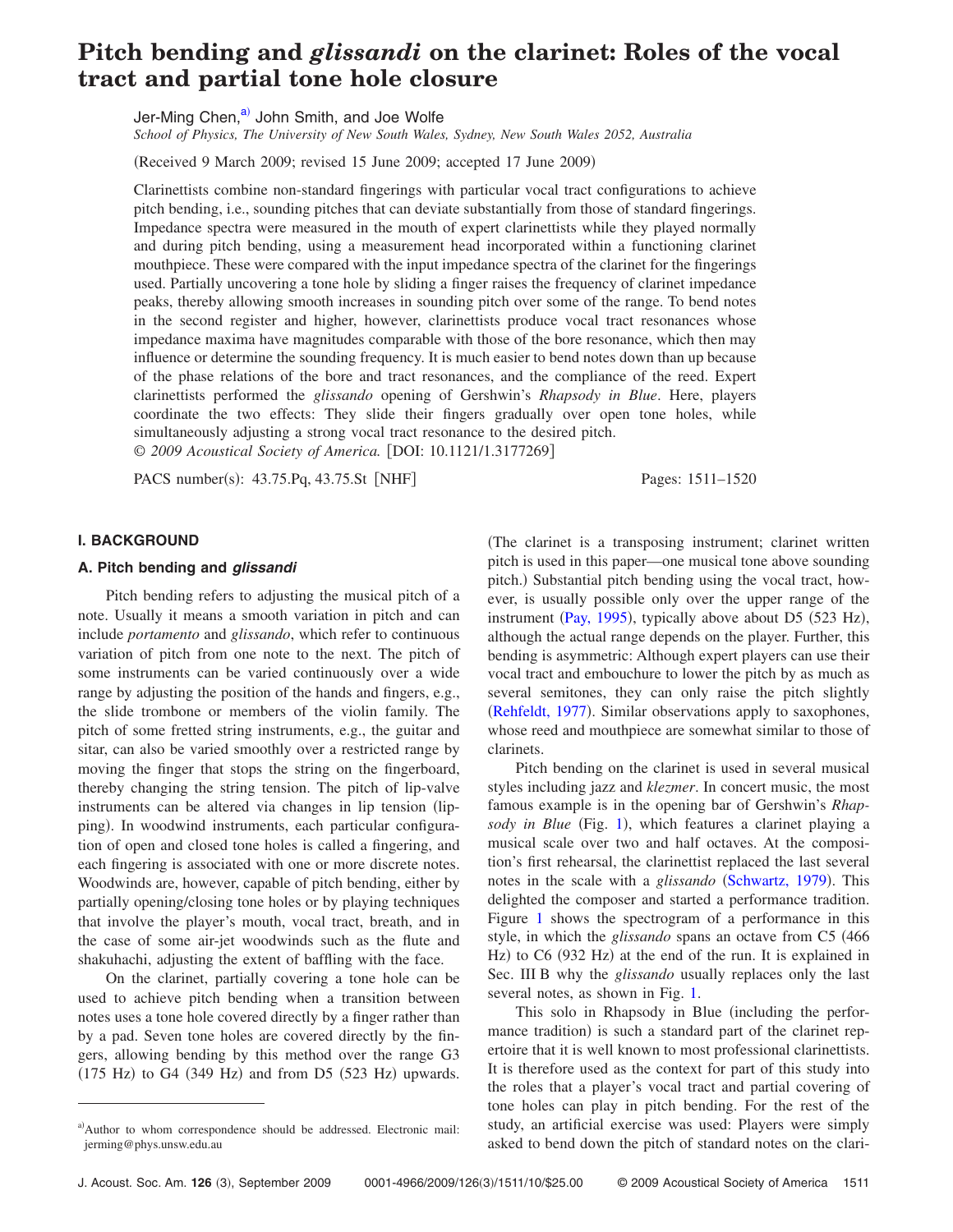# **Pitch bending and** *glissandi* **on the clarinet: Roles of the vocal tract and partial tone hole closure**

Jer-Ming Chen,<sup>a)</sup> John Smith, and Joe Wolfe

*School of Physics, The University of New South Wales, Sydney, New South Wales 2052, Australia*

Received 9 March 2009; revised 15 June 2009; accepted 17 June 2009-

Clarinettists combine non-standard fingerings with particular vocal tract configurations to achieve pitch bending, i.e., sounding pitches that can deviate substantially from those of standard fingerings. Impedance spectra were measured in the mouth of expert clarinettists while they played normally and during pitch bending, using a measurement head incorporated within a functioning clarinet mouthpiece. These were compared with the input impedance spectra of the clarinet for the fingerings used. Partially uncovering a tone hole by sliding a finger raises the frequency of clarinet impedance peaks, thereby allowing smooth increases in sounding pitch over some of the range. To bend notes in the second register and higher, however, clarinettists produce vocal tract resonances whose impedance maxima have magnitudes comparable with those of the bore resonance, which then may influence or determine the sounding frequency. It is much easier to bend notes down than up because of the phase relations of the bore and tract resonances, and the compliance of the reed. Expert clarinettists performed the *glissando* opening of Gershwin's *Rhapsody in Blue*. Here, players coordinate the two effects: They slide their fingers gradually over open tone holes, while simultaneously adjusting a strong vocal tract resonance to the desired pitch. © 2009 Acoustical Society of America. [DOI: 10.1121/1.3177269]

PACS number(s): 43.75.Pq, 43.75.St [NHF] Pages: 1511–1520

## **I. BACKGROUND**

### **A. Pitch bending and** *glissandi*

Pitch bending refers to adjusting the musical pitch of a note. Usually it means a smooth variation in pitch and can include *portamento* and *glissando*, which refer to continuous variation of pitch from one note to the next. The pitch of some instruments can be varied continuously over a wide range by adjusting the position of the hands and fingers, e.g., the slide trombone or members of the violin family. The pitch of some fretted string instruments, e.g., the guitar and sitar, can also be varied smoothly over a restricted range by moving the finger that stops the string on the fingerboard, thereby changing the string tension. The pitch of lip-valve instruments can be altered via changes in lip tension (lipping). In woodwind instruments, each particular configuration of open and closed tone holes is called a fingering, and each fingering is associated with one or more discrete notes. Woodwinds are, however, capable of pitch bending, either by partially opening/closing tone holes or by playing techniques that involve the player's mouth, vocal tract, breath, and in the case of some air-jet woodwinds such as the flute and shakuhachi, adjusting the extent of baffling with the face.

On the clarinet, partially covering a tone hole can be used to achieve pitch bending when a transition between notes uses a tone hole covered directly by a finger rather than by a pad. Seven tone holes are covered directly by the fingers, allowing bending by this method over the range G3  $(175$  Hz) to G4  $(349$  Hz) and from D5  $(523$  Hz) upwards.

The clarinet is a transposing instrument; clarinet written pitch is used in this paper—one musical tone above sounding pitch.) Substantial pitch bending using the vocal tract, however, is usually possible only over the upper range of the instrument ([Pay, 1995](#page-9-0)), typically above about D5  $(523 \text{ Hz})$ , although the actual range depends on the player. Further, this bending is asymmetric: Although expert players can use their vocal tract and embouchure to lower the pitch by as much as several semitones, they can only raise the pitch slightly ([Rehfeldt, 1977](#page-9-1)). Similar observations apply to saxophones, whose reed and mouthpiece are somewhat similar to those of clarinets.

Pitch bending on the clarinet is used in several musical styles including jazz and *klezmer*. In concert music, the most famous example is in the opening bar of Gershwin's *Rhap-*sody in Blue (Fig. [1](#page-1-0)), which features a clarinet playing a musical scale over two and half octaves. At the composition's first rehearsal, the clarinettist replaced the last several notes in the scale with a *glissando* ([Schwartz, 1979](#page-9-2)). This delighted the composer and started a performance tradition. Figure [1](#page-1-0) shows the spectrogram of a performance in this style, in which the *glissando* spans an octave from C5 466 Hz) to C6 (932 Hz) at the end of the run. It is explained in Sec. III B why the *glissando* usually replaces only the last several notes, as shown in Fig. [1.](#page-1-0)

This solo in Rhapsody in Blue (including the performance tradition) is such a standard part of the clarinet repertoire that it is well known to most professional clarinettists. It is therefore used as the context for part of this study into the roles that a player's vocal tract and partial covering of tone holes can play in pitch bending. For the rest of the study, an artificial exercise was used: Players were simply asked to bend down the pitch of standard notes on the clari-

<span id="page-0-0"></span>a)Author to whom correspondence should be addressed. Electronic mail: jerming@phys.unsw.edu.au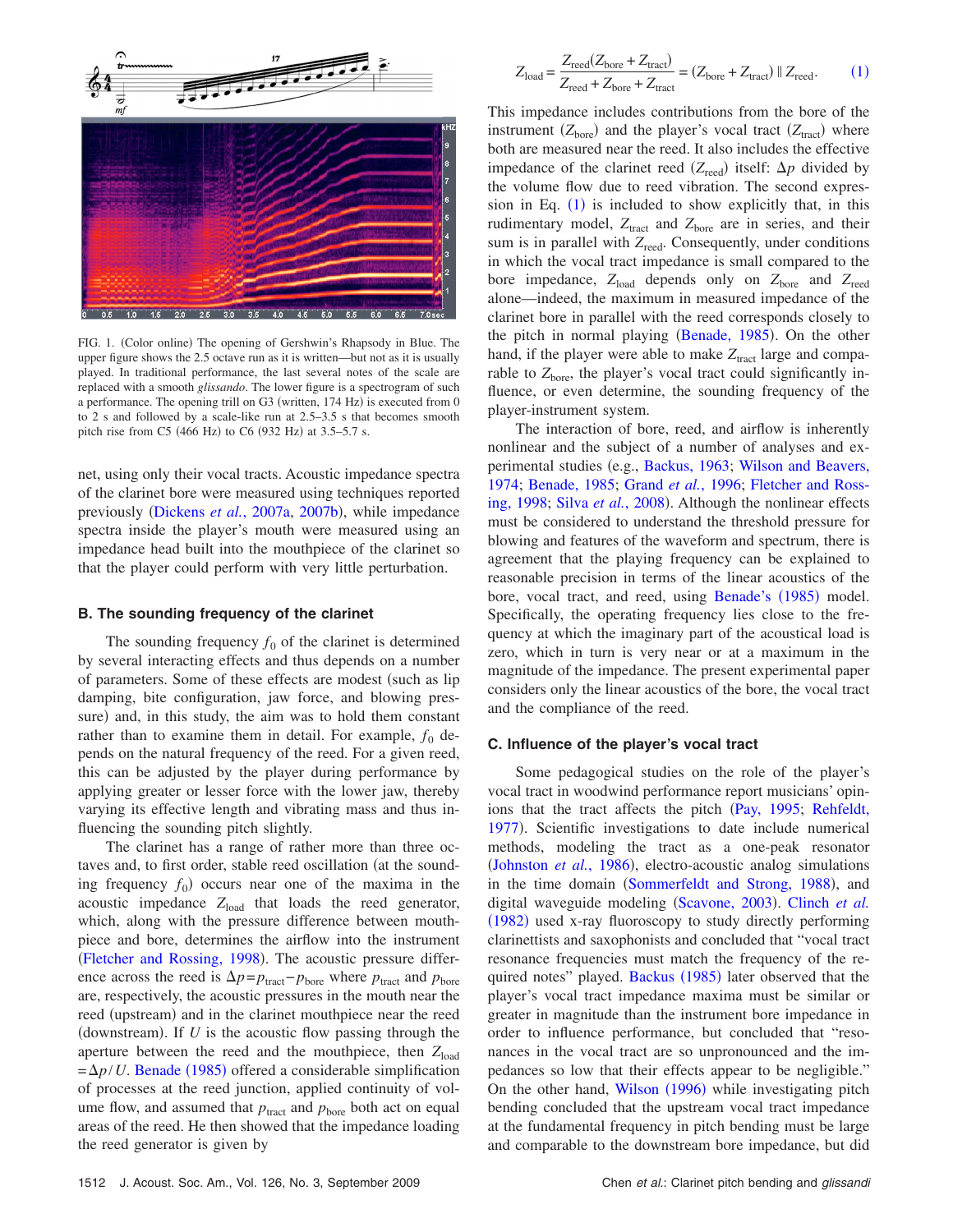<span id="page-1-0"></span>

FIG. 1. (Color online) The opening of Gershwin's Rhapsody in Blue. The upper figure shows the 2.5 octave run as it is written—but not as it is usually played. In traditional performance, the last several notes of the scale are replaced with a smooth *glissando*. The lower figure is a spectrogram of such a performance. The opening trill on G3 (written, 174 Hz) is executed from 0 to 2 s and followed by a scale-like run at 2.5–3.5 s that becomes smooth pitch rise from C5 (466 Hz) to C6 (932 Hz) at 3.5–5.7 s.

net, using only their vocal tracts. Acoustic impedance spectra of the clarinet bore were measured using techniques reported previously ([Dickens](#page-9-3) et al., 2007a, [2007b](#page-9-4)), while impedance spectra inside the player's mouth were measured using an impedance head built into the mouthpiece of the clarinet so that the player could perform with very little perturbation.

#### **B. The sounding frequency of the clarinet**

The sounding frequency  $f_0$  of the clarinet is determined by several interacting effects and thus depends on a number of parameters. Some of these effects are modest (such as lip damping, bite configuration, jaw force, and blowing pressure) and, in this study, the aim was to hold them constant rather than to examine them in detail. For example,  $f_0$  depends on the natural frequency of the reed. For a given reed, this can be adjusted by the player during performance by applying greater or lesser force with the lower jaw, thereby varying its effective length and vibrating mass and thus influencing the sounding pitch slightly.

The clarinet has a range of rather more than three octaves and, to first order, stable reed oscillation (at the sounding frequency  $f_0$ ) occurs near one of the maxima in the acoustic impedance  $Z_{load}$  that loads the reed generator, which, along with the pressure difference between mouthpiece and bore, determines the airflow into the instrument ([Fletcher and Rossing, 1998](#page-9-5)). The acoustic pressure difference across the reed is  $\Delta p = p_{\text{tract}} - p_{\text{bore}}$  where  $p_{\text{tract}}$  and  $p_{\text{bore}}$ are, respectively, the acoustic pressures in the mouth near the reed (upstream) and in the clarinet mouthpiece near the reed (downstream). If  $U$  is the acoustic flow passing through the aperture between the reed and the mouthpiece, then  $Z_{load}$  $=\Delta p/U$ . [Benade](#page-9-6) (1985) offered a considerable simplification of processes at the reed junction, applied continuity of volume flow, and assumed that  $p_{\text{tract}}$  and  $p_{\text{bore}}$  both act on equal areas of the reed. He then showed that the impedance loading the reed generator is given by

<span id="page-1-1"></span>
$$
Z_{\text{load}} = \frac{Z_{\text{reed}}(Z_{\text{bore}} + Z_{\text{tract}})}{Z_{\text{reed}} + Z_{\text{bore}} + Z_{\text{tract}}} = (Z_{\text{bore}} + Z_{\text{tract}}) || Z_{\text{reed}}.
$$
 (1)

This impedance includes contributions from the bore of the instrument  $(Z<sub>bare</sub>)$  and the player's vocal tract  $(Z<sub>tract</sub>)$  where both are measured near the reed. It also includes the effective impedance of the clarinet reed  $(Z_{\text{read}})$  itself:  $\Delta p$  divided by the volume flow due to reed vibration. The second expression in Eq.  $(1)$  $(1)$  $(1)$  is included to show explicitly that, in this rudimentary model,  $Z_{\text{tract}}$  and  $Z_{\text{bore}}$  are in series, and their sum is in parallel with *Z*<sub>reed</sub>. Consequently, under conditions in which the vocal tract impedance is small compared to the bore impedance,  $Z_{load}$  depends only on  $Z_{bore}$  and  $Z_{read}$ alone—indeed, the maximum in measured impedance of the clarinet bore in parallel with the reed corresponds closely to the pitch in normal playing ([Benade, 1985](#page-9-6)). On the other hand, if the player were able to make  $Z<sub>tract</sub>$  large and comparable to  $Z<sub>bare</sub>$ , the player's vocal tract could significantly influence, or even determine, the sounding frequency of the player-instrument system.

The interaction of bore, reed, and airflow is inherently nonlinear and the subject of a number of analyses and ex-perimental studies (e.g., [Backus, 1963;](#page-9-7) [Wilson and Beavers,](#page-9-8) [1974;](#page-9-8) [Benade, 1985;](#page-9-6) Grand *et al.*[, 1996;](#page-9-9) [Fletcher and Ross](#page-9-5)[ing, 1998;](#page-9-5) Silva et al.[, 2008](#page-9-10)). Although the nonlinear effects must be considered to understand the threshold pressure for blowing and features of the waveform and spectrum, there is agreement that the playing frequency can be explained to reasonable precision in terms of the linear acoustics of the bore, vocal tract, and reed, using [Benade's](#page-9-6) (1985) model. Specifically, the operating frequency lies close to the frequency at which the imaginary part of the acoustical load is zero, which in turn is very near or at a maximum in the magnitude of the impedance. The present experimental paper considers only the linear acoustics of the bore, the vocal tract and the compliance of the reed.

### **C. Influence of the player's vocal tract**

Some pedagogical studies on the role of the player's vocal tract in woodwind performance report musicians' opin-ions that the tract affects the pitch ([Pay, 1995;](#page-9-0) [Rehfeldt,](#page-9-1) [1977](#page-9-1)). Scientific investigations to date include numerical methods, modeling the tract as a one-peak resonator ([Johnston](#page-9-11) et al., 1986), electro-acoustic analog simulations in the time domain ([Sommerfeldt and Strong, 1988](#page-9-12)), and digital waveguide modeling ([Scavone, 2003](#page-9-13)). [Clinch](#page-9-14) et al. ([1982](#page-9-14)) used x-ray fluoroscopy to study directly performing clarinettists and saxophonists and concluded that "vocal tract resonance frequencies must match the frequency of the re-quired notes" played. [Backus](#page-9-15) (1985) later observed that the player's vocal tract impedance maxima must be similar or greater in magnitude than the instrument bore impedance in order to influence performance, but concluded that "resonances in the vocal tract are so unpronounced and the impedances so low that their effects appear to be negligible." On the other hand, [Wilson](#page-9-16) (1996) while investigating pitch bending concluded that the upstream vocal tract impedance at the fundamental frequency in pitch bending must be large and comparable to the downstream bore impedance, but did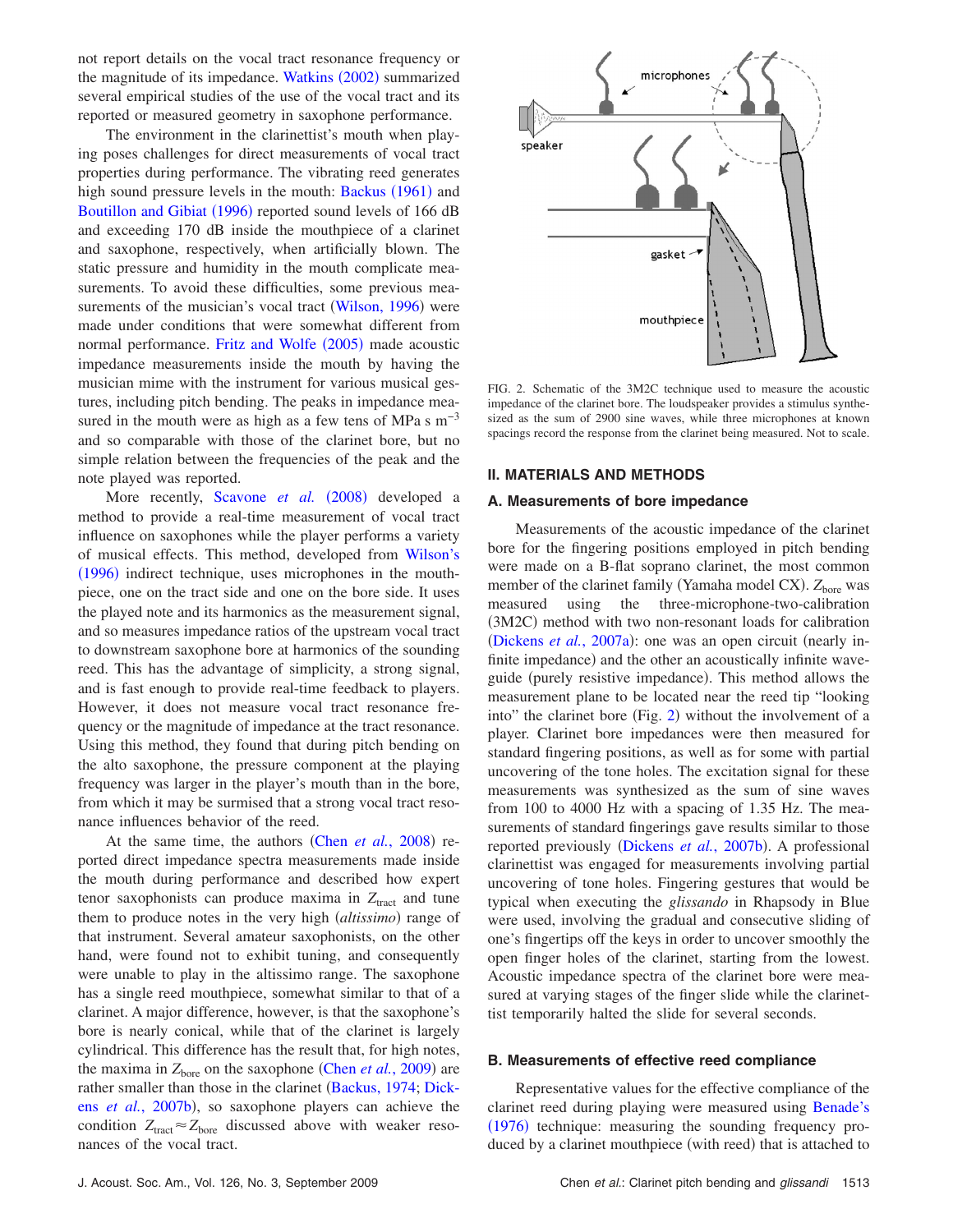not report details on the vocal tract resonance frequency or the magnitude of its impedance. [Watkins](#page-9-17) (2002) summarized several empirical studies of the use of the vocal tract and its reported or measured geometry in saxophone performance.

The environment in the clarinettist's mouth when playing poses challenges for direct measurements of vocal tract properties during performance. The vibrating reed generates high sound pressure levels in the mouth: [Backus](#page-9-18) (1961) and [Boutillon and Gibiat](#page-9-19) (1996) reported sound levels of 166 dB and exceeding 170 dB inside the mouthpiece of a clarinet and saxophone, respectively, when artificially blown. The static pressure and humidity in the mouth complicate measurements. To avoid these difficulties, some previous mea-surements of the musician's vocal tract ([Wilson, 1996](#page-9-16)) were made under conditions that were somewhat different from normal performance. [Fritz and Wolfe](#page-9-20) (2005) made acoustic impedance measurements inside the mouth by having the musician mime with the instrument for various musical gestures, including pitch bending. The peaks in impedance measured in the mouth were as high as a few tens of MPa s  $m^{-3}$ and so comparable with those of the clarinet bore, but no simple relation between the frequencies of the peak and the note played was reported.

More recently, [Scavone](#page-9-21) et al. (2008) developed a method to provide a real-time measurement of vocal tract influence on saxophones while the player performs a variety of musical effects. This method, developed from [Wilson's](#page-9-16) ([1996](#page-9-16)) indirect technique, uses microphones in the mouthpiece, one on the tract side and one on the bore side. It uses the played note and its harmonics as the measurement signal, and so measures impedance ratios of the upstream vocal tract to downstream saxophone bore at harmonics of the sounding reed. This has the advantage of simplicity, a strong signal, and is fast enough to provide real-time feedback to players. However, it does not measure vocal tract resonance frequency or the magnitude of impedance at the tract resonance. Using this method, they found that during pitch bending on the alto saxophone, the pressure component at the playing frequency was larger in the player's mouth than in the bore, from which it may be surmised that a strong vocal tract resonance influences behavior of the reed.

At the same time, the authors (Chen *et al.*[, 2008](#page-9-22)) reported direct impedance spectra measurements made inside the mouth during performance and described how expert tenor saxophonists can produce maxima in  $Z<sub>tract</sub>$  and tune them to produce notes in the very high *(altissimo)* range of that instrument. Several amateur saxophonists, on the other hand, were found not to exhibit tuning, and consequently were unable to play in the altissimo range. The saxophone has a single reed mouthpiece, somewhat similar to that of a clarinet. A major difference, however, is that the saxophone's bore is nearly conical, while that of the clarinet is largely cylindrical. This difference has the result that, for high notes, the maxima in  $Z<sub>bore</sub>$  on the saxophone (Chen *et al.*[, 2009](#page-9-23)) are rather smaller than those in the clarinet ([Backus, 1974;](#page-9-24) [Dick](#page-9-4)ens *et al.*[, 2007b](#page-9-4)), so saxophone players can achieve the condition  $Z_{\text{tract}} \approx Z_{\text{bore}}$  discussed above with weaker resonances of the vocal tract.

<span id="page-2-0"></span>

FIG. 2. Schematic of the 3M2C technique used to measure the acoustic impedance of the clarinet bore. The loudspeaker provides a stimulus synthesized as the sum of 2900 sine waves, while three microphones at known spacings record the response from the clarinet being measured. Not to scale.

#### **II. MATERIALS AND METHODS**

#### **A. Measurements of bore impedance**

Measurements of the acoustic impedance of the clarinet bore for the fingering positions employed in pitch bending were made on a B-flat soprano clarinet, the most common member of the clarinet family (Yamaha model CX). Z<sub>bore</sub> was measured using the three-microphone-two-calibration (3M2C) method with two non-resonant loads for calibration ([Dickens](#page-9-3) *et al.*, 2007a): one was an open circuit (nearly infinite impedance) and the other an acoustically infinite waveguide (purely resistive impedance). This method allows the measurement plane to be located near the reed tip "looking into" the clarinet bore (Fig. [2](#page-2-0)) without the involvement of a player. Clarinet bore impedances were then measured for standard fingering positions, as well as for some with partial uncovering of the tone holes. The excitation signal for these measurements was synthesized as the sum of sine waves from 100 to 4000 Hz with a spacing of 1.35 Hz. The measurements of standard fingerings gave results similar to those reported previously ([Dickens](#page-9-4) et al., 2007b). A professional clarinettist was engaged for measurements involving partial uncovering of tone holes. Fingering gestures that would be typical when executing the *glissando* in Rhapsody in Blue were used, involving the gradual and consecutive sliding of one's fingertips off the keys in order to uncover smoothly the open finger holes of the clarinet, starting from the lowest. Acoustic impedance spectra of the clarinet bore were measured at varying stages of the finger slide while the clarinettist temporarily halted the slide for several seconds.

#### **B. Measurements of effective reed compliance**

Representative values for the effective compliance of the clarinet reed during playing were measured using [Benade's](#page-9-25) ([1976](#page-9-25)) technique: measuring the sounding frequency produced by a clarinet mouthpiece (with reed) that is attached to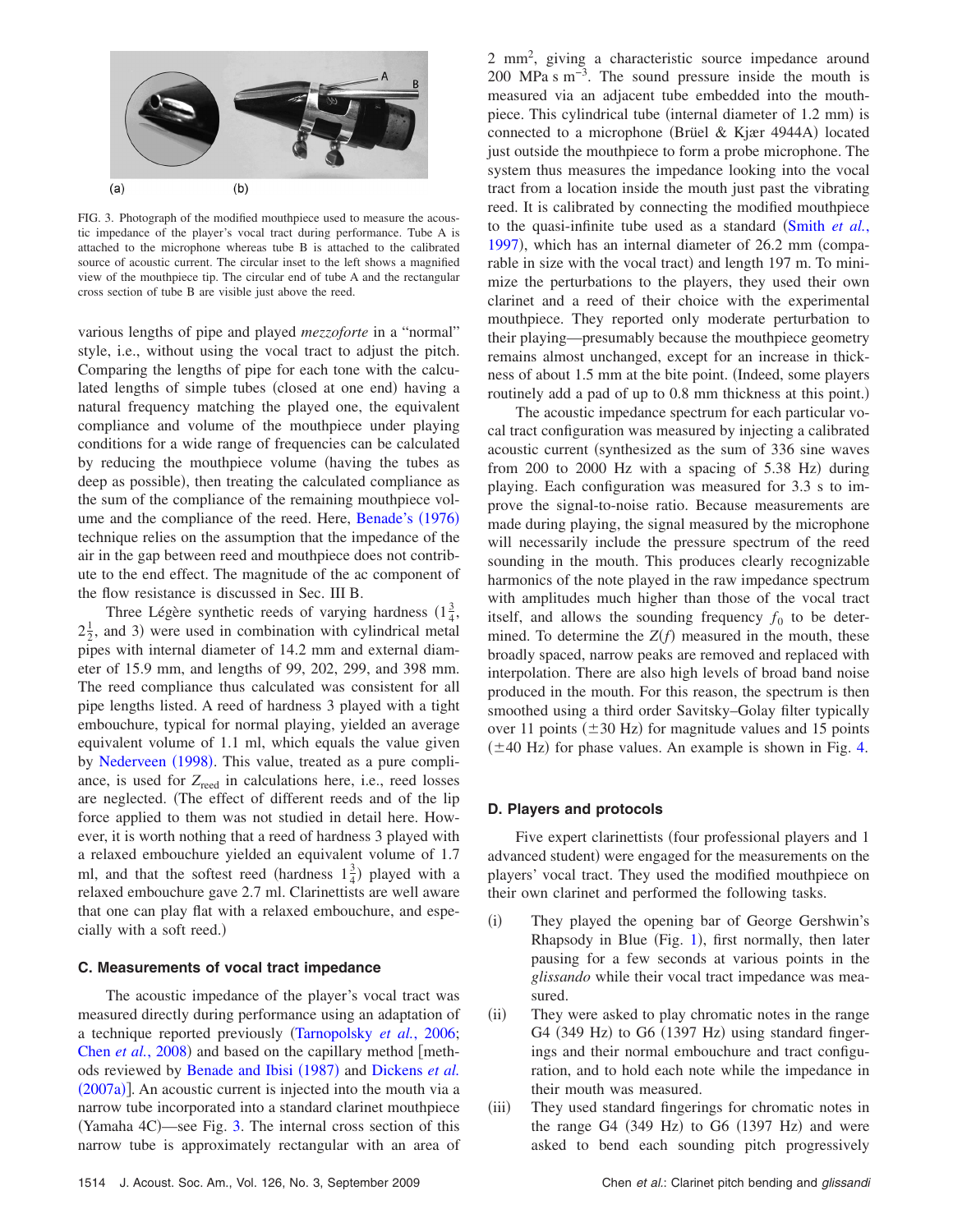<span id="page-3-0"></span>

FIG. 3. Photograph of the modified mouthpiece used to measure the acoustic impedance of the player's vocal tract during performance. Tube A is attached to the microphone whereas tube B is attached to the calibrated source of acoustic current. The circular inset to the left shows a magnified view of the mouthpiece tip. The circular end of tube A and the rectangular cross section of tube B are visible just above the reed.

various lengths of pipe and played *mezzoforte* in a "normal" style, i.e., without using the vocal tract to adjust the pitch. Comparing the lengths of pipe for each tone with the calculated lengths of simple tubes (closed at one end) having a natural frequency matching the played one, the equivalent compliance and volume of the mouthpiece under playing conditions for a wide range of frequencies can be calculated by reducing the mouthpiece volume (having the tubes as deep as possible), then treating the calculated compliance as the sum of the compliance of the remaining mouthpiece vol-ume and the compliance of the reed. Here, [Benade's](#page-9-25) (1976) technique relies on the assumption that the impedance of the air in the gap between reed and mouthpiece does not contribute to the end effect. The magnitude of the ac component of the flow resistance is discussed in Sec. III B.

Three Légère synthetic reeds of varying hardness  $(1\frac{3}{4},$  $2\frac{1}{2}$ , and 3) were used in combination with cylindrical metal pipes with internal diameter of 14.2 mm and external diameter of 15.9 mm, and lengths of 99, 202, 299, and 398 mm. The reed compliance thus calculated was consistent for all pipe lengths listed. A reed of hardness 3 played with a tight embouchure, typical for normal playing, yielded an average equivalent volume of 1.1 ml, which equals the value given by [Nederveen](#page-9-26) (1998). This value, treated as a pure compliance, is used for Z<sub>reed</sub> in calculations here, i.e., reed losses are neglected. The effect of different reeds and of the lip force applied to them was not studied in detail here. However, it is worth nothing that a reed of hardness 3 played with a relaxed embouchure yielded an equivalent volume of 1.7 ml, and that the softest reed (hardness  $1\frac{3}{4}$ ) played with a relaxed embouchure gave 2.7 ml. Clarinettists are well aware that one can play flat with a relaxed embouchure, and especially with a soft reed.)

## **C. Measurements of vocal tract impedance**

The acoustic impedance of the player's vocal tract was measured directly during performance using an adaptation of a technique reported previously [Tarnopolsky](#page-9-27) *et al.*, 2006; Chen *et al.*[, 2008](#page-9-22)) and based on the capillary method [meth-ods reviewed by [Benade and Ibisi](#page-9-28) (1987) and [Dickens](#page-9-3) *et al.* ([2007a](#page-9-3))]. An acoustic current is injected into the mouth via a narrow tube incorporated into a standard clarinet mouthpiece (Yamaha 4C)—see Fig. [3.](#page-3-0) The internal cross section of this narrow tube is approximately rectangular with an area of

2 mm2 , giving a characteristic source impedance around 200 MPa s m<sup>-3</sup>. The sound pressure inside the mouth is measured via an adjacent tube embedded into the mouthpiece. This cylindrical tube (internal diameter of 1.2 mm) is connected to a microphone (Brüel & Kjær 4944A) located just outside the mouthpiece to form a probe microphone. The system thus measures the impedance looking into the vocal tract from a location inside the mouth just past the vibrating reed. It is calibrated by connecting the modified mouthpiece to the quasi-infinite tube used as a standard ([Smith](#page-9-29) *et al.*, [1997](#page-9-29)), which has an internal diameter of 26.2 mm (comparable in size with the vocal tract) and length 197 m. To minimize the perturbations to the players, they used their own clarinet and a reed of their choice with the experimental mouthpiece. They reported only moderate perturbation to their playing—presumably because the mouthpiece geometry remains almost unchanged, except for an increase in thickness of about 1.5 mm at the bite point. (Indeed, some players routinely add a pad of up to 0.8 mm thickness at this point.)

The acoustic impedance spectrum for each particular vocal tract configuration was measured by injecting a calibrated acoustic current (synthesized as the sum of 336 sine waves from 200 to 2000 Hz with a spacing of 5.38 Hz) during playing. Each configuration was measured for 3.3 s to improve the signal-to-noise ratio. Because measurements are made during playing, the signal measured by the microphone will necessarily include the pressure spectrum of the reed sounding in the mouth. This produces clearly recognizable harmonics of the note played in the raw impedance spectrum with amplitudes much higher than those of the vocal tract itself, and allows the sounding frequency  $f_0$  to be determined. To determine the  $Z(f)$  measured in the mouth, these broadly spaced, narrow peaks are removed and replaced with interpolation. There are also high levels of broad band noise produced in the mouth. For this reason, the spectrum is then smoothed using a third order Savitsky–Golay filter typically over 11 points  $(\pm 30 \text{ Hz})$  for magnitude values and 15 points  $(\pm 40 \text{ Hz})$  for phase values. An example is shown in Fig. [4.](#page-4-0)

#### **D. Players and protocols**

Five expert clarinettists (four professional players and 1 advanced student) were engaged for the measurements on the players' vocal tract. They used the modified mouthpiece on their own clarinet and performed the following tasks.

- $(i)$  They played the opening bar of George Gershwin's Rhapsody in Blue (Fig.  $1$ ), first normally, then later pausing for a few seconds at various points in the *glissando* while their vocal tract impedance was measured.
- $(ii)$  They were asked to play chromatic notes in the range G4 (349 Hz) to G6 (1397 Hz) using standard fingerings and their normal embouchure and tract configuration, and to hold each note while the impedance in their mouth was measured.
- $(iii)$  They used standard fingerings for chromatic notes in the range G4  $(349 \text{ Hz})$  to G6  $(1397 \text{ Hz})$  and were asked to bend each sounding pitch progressively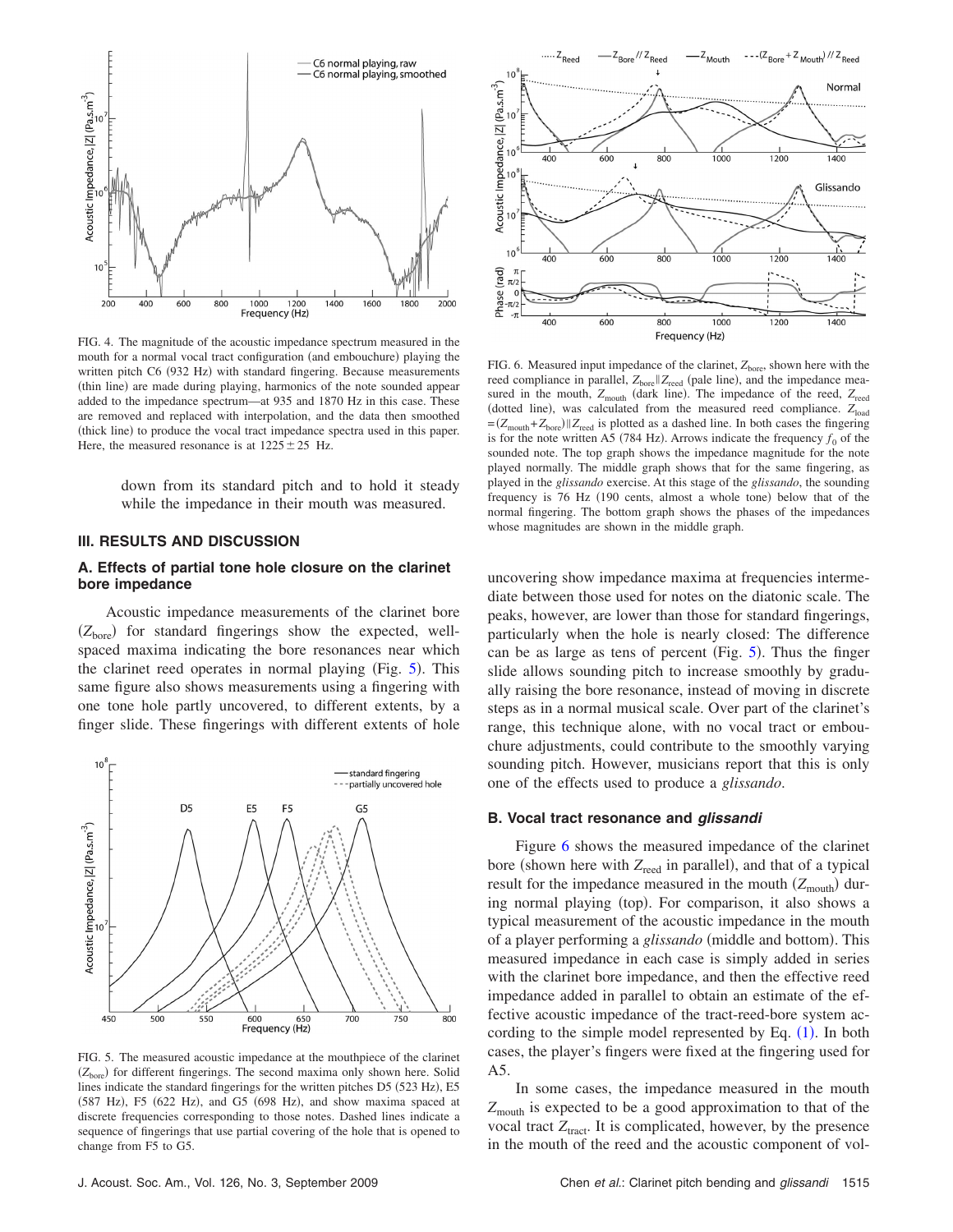<span id="page-4-0"></span>

FIG. 4. The magnitude of the acoustic impedance spectrum measured in the mouth for a normal vocal tract configuration (and embouchure) playing the written pitch C6 (932 Hz) with standard fingering. Because measurements (thin line) are made during playing, harmonics of the note sounded appear added to the impedance spectrum—at 935 and 1870 Hz in this case. These are removed and replaced with interpolation, and the data then smoothed (thick line) to produce the vocal tract impedance spectra used in this paper. Here, the measured resonance is at  $1225 \pm 25$  Hz.

down from its standard pitch and to hold it steady while the impedance in their mouth was measured.

## **III. RESULTS AND DISCUSSION**

## **A. Effects of partial tone hole closure on the clarinet bore impedance**

Acoustic impedance measurements of the clarinet bore (Z<sub>bore</sub>) for standard fingerings show the expected, wellspaced maxima indicating the bore resonances near which the clarinet reed operates in normal playing (Fig. [5](#page-4-1)). This same figure also shows measurements using a fingering with one tone hole partly uncovered, to different extents, by a finger slide. These fingerings with different extents of hole

<span id="page-4-1"></span>

FIG. 5. The measured acoustic impedance at the mouthpiece of the clarinet (Z<sub>bore</sub>) for different fingerings. The second maxima only shown here. Solid lines indicate the standard fingerings for the written pitches D5 (523 Hz), E5 (587 Hz), F5 (622 Hz), and G5 (698 Hz), and show maxima spaced at discrete frequencies corresponding to those notes. Dashed lines indicate a sequence of fingerings that use partial covering of the hole that is opened to change from F5 to G5.

<span id="page-4-2"></span>

FIG. 6. Measured input impedance of the clarinet,  $Z<sub>hore</sub>$ , shown here with the reed compliance in parallel,  $Z_{\text{bore}} || Z_{\text{reed}}$  (pale line), and the impedance measured in the mouth,  $Z_{\text{mouth}}$  (dark line). The impedance of the reed,  $Z_{\text{reed}}$ (dotted line), was calculated from the measured reed compliance. Z<sub>load</sub>  $=(Z_{\text{mouth}}+Z_{\text{bore}})|Z_{\text{reed}}$  is plotted as a dashed line. In both cases the fingering is for the note written A5 (784 Hz). Arrows indicate the frequency  $f_0$  of the sounded note. The top graph shows the impedance magnitude for the note played normally. The middle graph shows that for the same fingering, as played in the *glissando* exercise. At this stage of the *glissando*, the sounding frequency is 76 Hz (190 cents, almost a whole tone) below that of the normal fingering. The bottom graph shows the phases of the impedances whose magnitudes are shown in the middle graph.

uncovering show impedance maxima at frequencies intermediate between those used for notes on the diatonic scale. The peaks, however, are lower than those for standard fingerings, particularly when the hole is nearly closed: The difference can be as large as tens of percent (Fig.  $5$ ). Thus the finger slide allows sounding pitch to increase smoothly by gradually raising the bore resonance, instead of moving in discrete steps as in a normal musical scale. Over part of the clarinet's range, this technique alone, with no vocal tract or embouchure adjustments, could contribute to the smoothly varying sounding pitch. However, musicians report that this is only one of the effects used to produce a *glissando*.

### **B. Vocal tract resonance and** *glissandi*

Figure [6](#page-4-2) shows the measured impedance of the clarinet bore (shown here with  $Z_{\text{read}}$  in parallel), and that of a typical result for the impedance measured in the mouth (Z<sub>mouth</sub>) during normal playing (top). For comparison, it also shows a typical measurement of the acoustic impedance in the mouth of a player performing a *glissando* (middle and bottom). This measured impedance in each case is simply added in series with the clarinet bore impedance, and then the effective reed impedance added in parallel to obtain an estimate of the effective acoustic impedance of the tract-reed-bore system according to the simple model represented by Eq.  $(1)$  $(1)$  $(1)$ . In both cases, the player's fingers were fixed at the fingering used for A5.

In some cases, the impedance measured in the mouth  $Z_{\text{mouth}}$  is expected to be a good approximation to that of the vocal tract  $Z<sub>tract</sub>$ . It is complicated, however, by the presence in the mouth of the reed and the acoustic component of vol-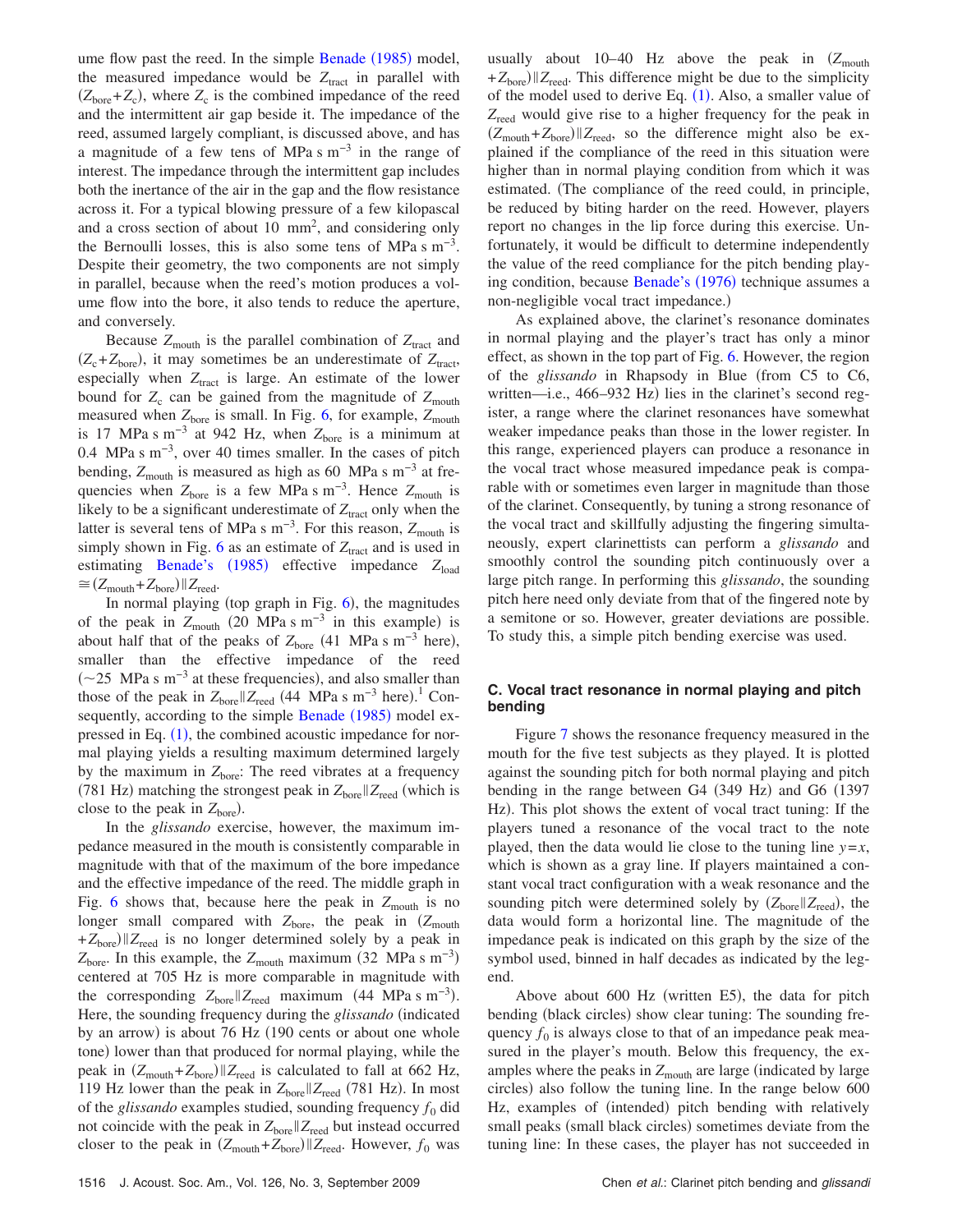ume flow past the reed. In the simple [Benade](#page-9-25) (1985) model, the measured impedance would be  $Z<sub>tract</sub>$  in parallel with  $(Z<sub>bore</sub>+Z<sub>c</sub>)$ , where  $Z<sub>c</sub>$  is the combined impedance of the reed and the intermittent air gap beside it. The impedance of the reed, assumed largely compliant, is discussed above, and has a magnitude of a few tens of MPa s m−3 in the range of interest. The impedance through the intermittent gap includes both the inertance of the air in the gap and the flow resistance across it. For a typical blowing pressure of a few kilopascal and a cross section of about 10  $mm<sup>2</sup>$ , and considering only the Bernoulli losses, this is also some tens of MPa s  $m^{-3}$ . Despite their geometry, the two components are not simply in parallel, because when the reed's motion produces a volume flow into the bore, it also tends to reduce the aperture, and conversely.

Because  $Z_{\text{mouth}}$  is the parallel combination of  $Z_{\text{tract}}$  and  $(Z_c + Z_{\text{bore}})$ , it may sometimes be an underestimate of  $Z_{\text{tract}}$ , especially when  $Z<sub>tract</sub>$  is large. An estimate of the lower bound for  $Z_c$  can be gained from the magnitude of  $Z_{\text{mouth}}$ measured when  $Z_{\text{bore}}$  is small. In Fig. [6,](#page-4-2) for example,  $Z_{\text{mouth}}$ is 17 MPa s m<sup>-3</sup> at 942 Hz, when  $Z_{\text{bore}}$  is a minimum at 0.4 MPa s m−3, over 40 times smaller. In the cases of pitch bending,  $Z_{\text{mouth}}$  is measured as high as 60 MPa s m<sup>-3</sup> at frequencies when *Z*<sub>bore</sub> is a few MPa s m<sup>−3</sup>. Hence *Z*<sub>mouth</sub> is likely to be a significant underestimate of  $Z<sub>tract</sub>$  only when the latter is several tens of MPa s m<sup>-3</sup>. For this reason, Z<sub>mouth</sub> is simply shown in Fig.  $6$  as an estimate of  $Z<sub>tract</sub>$  and is used in estimating [Benade's](#page-9-25) (1985) effective impedance *Z*<sub>load</sub>  $\approx$   $(Z_{\text{mouth}} + Z_{\text{bore}})$   $||Z_{\text{reed}}.$ 

In normal playing (top graph in Fig.  $6$ ), the magnitudes of the peak in  $Z_{\text{mouth}}$  (20 MPa s m<sup>-3</sup> in this example) is about half that of the peaks of  $Z_{\text{bore}}$  (41 MPa s m<sup>-3</sup> here), smaller than the effective impedance of the reed  $(\sim 25$  MPa s m<sup>-3</sup> at these frequencies), and also smaller than those of the peak in  $Z_{\text{bore}} || Z_{\text{reed}}$  (44 MPa s m<sup>-3</sup> here).<sup>1</sup> Con-sequently, according to the simple [Benade](#page-9-25) (1985) model expressed in Eq.  $(1)$  $(1)$  $(1)$ , the combined acoustic impedance for normal playing yields a resulting maximum determined largely by the maximum in  $Z<sub>bore</sub>$ : The reed vibrates at a frequency (781 Hz) matching the strongest peak in  $Z_{\text{bore}} || Z_{\text{reed}}$  (which is close to the peak in  $Z_{\text{bore}}$ ).

In the *glissando* exercise, however, the maximum impedance measured in the mouth is consistently comparable in magnitude with that of the maximum of the bore impedance and the effective impedance of the reed. The middle graph in Fig. [6](#page-4-2) shows that, because here the peak in  $Z_{\text{mouth}}$  is no longer small compared with  $Z_{\text{bore}}$ , the peak in  $(Z_{\text{mouth}})$  $+Z_{\text{bore}}$  *Z*<sub>reed</sub> is no longer determined solely by a peak in  $Z_{\text{bore}}$ . In this example, the  $Z_{\text{mouth}}$  maximum (32 MPa s m<sup>-3</sup>) centered at 705 Hz is more comparable in magnitude with the corresponding  $Z_{\text{bore}} || Z_{\text{reed}}$  maximum (44 MPa s m<sup>-3</sup>). Here, the sounding frequency during the *glissando* (indicated by an arrow) is about 76 Hz (190 cents or about one whole tone) lower than that produced for normal playing, while the peak in  $(Z_{\text{mouth}} + Z_{\text{bore}})$   $||Z_{\text{reed}}|$  is calculated to fall at 662 Hz, 119 Hz lower than the peak in  $Z_{\text{bore}} || Z_{\text{reed}}$  (781 Hz). In most of the *glissando* examples studied, sounding frequency  $f_0$  did not coincide with the peak in  $Z_{\text{bore}} || Z_{\text{reed}}$  but instead occurred closer to the peak in  $(Z_{\text{mouth}} + Z_{\text{bore}}) || Z_{\text{reed}}$ . However,  $f_0$  was

usually about  $10-40$  Hz above the peak in  $(Z_{\text{mouth}})$ +  $Z<sub>bare</sub>$ ) || $Z<sub>reed</sub>$ . This difference might be due to the simplicity of the model used to derive Eq.  $(1)$  $(1)$  $(1)$ . Also, a smaller value of Z<sub>reed</sub> would give rise to a higher frequency for the peak in  $(Z_{\text{mouth}} + Z_{\text{bore}})$   $||Z_{\text{reed}}$ , so the difference might also be explained if the compliance of the reed in this situation were higher than in normal playing condition from which it was estimated. The compliance of the reed could, in principle, be reduced by biting harder on the reed. However, players report no changes in the lip force during this exercise. Unfortunately, it would be difficult to determine independently the value of the reed compliance for the pitch bending play-ing condition, because [Benade's](#page-9-25) (1976) technique assumes a non-negligible vocal tract impedance.)

As explained above, the clarinet's resonance dominates in normal playing and the player's tract has only a minor effect, as shown in the top part of Fig. [6.](#page-4-2) However, the region of the *glissando* in Rhapsody in Blue from C5 to C6, written—i.e., 466-932 Hz) lies in the clarinet's second register, a range where the clarinet resonances have somewhat weaker impedance peaks than those in the lower register. In this range, experienced players can produce a resonance in the vocal tract whose measured impedance peak is comparable with or sometimes even larger in magnitude than those of the clarinet. Consequently, by tuning a strong resonance of the vocal tract and skillfully adjusting the fingering simultaneously, expert clarinettists can perform a *glissando* and smoothly control the sounding pitch continuously over a large pitch range. In performing this *glissando*, the sounding pitch here need only deviate from that of the fingered note by a semitone or so. However, greater deviations are possible. To study this, a simple pitch bending exercise was used.

## **C. Vocal tract resonance in normal playing and pitch bending**

Figure [7](#page-6-0) shows the resonance frequency measured in the mouth for the five test subjects as they played. It is plotted against the sounding pitch for both normal playing and pitch bending in the range between G4 (349 Hz) and G6 (1397 Hz). This plot shows the extent of vocal tract tuning: If the players tuned a resonance of the vocal tract to the note played, then the data would lie close to the tuning line  $y=x$ , which is shown as a gray line. If players maintained a constant vocal tract configuration with a weak resonance and the sounding pitch were determined solely by  $(Z_{\text{bore}} || Z_{\text{reed}})$ , the data would form a horizontal line. The magnitude of the impedance peak is indicated on this graph by the size of the symbol used, binned in half decades as indicated by the legend.

Above about 600 Hz (written E5), the data for pitch bending (black circles) show clear tuning: The sounding frequency  $f_0$  is always close to that of an impedance peak measured in the player's mouth. Below this frequency, the examples where the peaks in  $Z_{\text{mouth}}$  are large (indicated by large circles) also follow the tuning line. In the range below 600 Hz, examples of (intended) pitch bending with relatively small peaks (small black circles) sometimes deviate from the tuning line: In these cases, the player has not succeeded in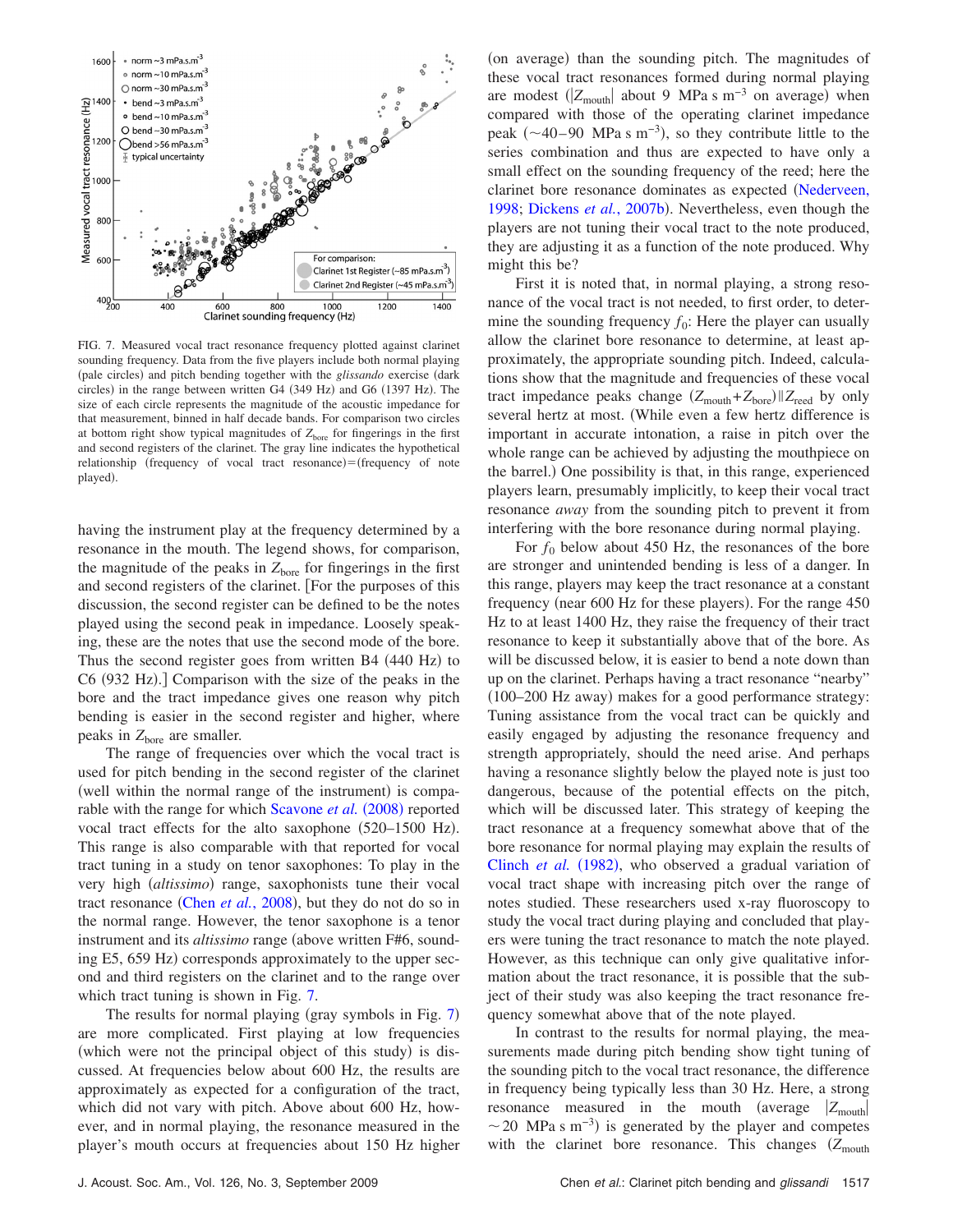<span id="page-6-0"></span>

FIG. 7. Measured vocal tract resonance frequency plotted against clarinet sounding frequency. Data from the five players include both normal playing (pale circles) and pitch bending together with the *glissando* exercise (dark circles) in the range between written G4 (349 Hz) and G6 (1397 Hz). The size of each circle represents the magnitude of the acoustic impedance for that measurement, binned in half decade bands. For comparison two circles at bottom right show typical magnitudes of  $Z<sub>bore</sub>$  for fingerings in the first and second registers of the clarinet. The gray line indicates the hypothetical relationship (frequency of vocal tract resonance)=(frequency of note played).

having the instrument play at the frequency determined by a resonance in the mouth. The legend shows, for comparison, the magnitude of the peaks in  $Z<sub>bore</sub>$  for fingerings in the first and second registers of the clarinet. [For the purposes of this discussion, the second register can be defined to be the notes played using the second peak in impedance. Loosely speaking, these are the notes that use the second mode of the bore. Thus the second register goes from written B4 (440 Hz) to C6 (932 Hz).] Comparison with the size of the peaks in the bore and the tract impedance gives one reason why pitch bending is easier in the second register and higher, where peaks in  $Z_{\text{bore}}$  are smaller.

The range of frequencies over which the vocal tract is used for pitch bending in the second register of the clarinet (well within the normal range of the instrument) is compa-rable with the range for which [Scavone](#page-9-21) et al. (2008) reported vocal tract effects for the alto saxophone (520-1500 Hz). This range is also comparable with that reported for vocal tract tuning in a study on tenor saxophones: To play in the very high (altissimo) range, saxophonists tune their vocal tract resonance (Chen *et al.*[, 2008](#page-9-22)), but they do not do so in the normal range. However, the tenor saxophone is a tenor instrument and its *altissimo* range (above written F#6, sounding E5, 659 Hz) corresponds approximately to the upper second and third registers on the clarinet and to the range over which tract tuning is shown in Fig. [7.](#page-6-0)

The results for normal playing (gray symbols in Fig. [7](#page-6-0)) are more complicated. First playing at low frequencies (which were not the principal object of this study) is discussed. At frequencies below about 600 Hz, the results are approximately as expected for a configuration of the tract, which did not vary with pitch. Above about 600 Hz, however, and in normal playing, the resonance measured in the player's mouth occurs at frequencies about 150 Hz higher

(on average) than the sounding pitch. The magnitudes of these vocal tract resonances formed during normal playing are modest  $(|Z_{\text{mouth}}|$  about 9 MPa s m<sup>-3</sup> on average) when compared with those of the operating clarinet impedance peak  $({\sim}40-90$  MPa s m<sup>-3</sup>), so they contribute little to the series combination and thus are expected to have only a small effect on the sounding frequency of the reed; here the clarinet bore resonance dominates as expected [Nederveen,](#page-9-26) [1998;](#page-9-26) [Dickens](#page-9-4) et al., 2007b). Nevertheless, even though the players are not tuning their vocal tract to the note produced, they are adjusting it as a function of the note produced. Why might this be?

First it is noted that, in normal playing, a strong resonance of the vocal tract is not needed, to first order, to determine the sounding frequency  $f_0$ : Here the player can usually allow the clarinet bore resonance to determine, at least approximately, the appropriate sounding pitch. Indeed, calculations show that the magnitude and frequencies of these vocal tract impedance peaks change  $(Z_{\text{mouth}} + Z_{\text{bore}}) || Z_{\text{reed}}$  by only several hertz at most. While even a few hertz difference is important in accurate intonation, a raise in pitch over the whole range can be achieved by adjusting the mouthpiece on the barrel.) One possibility is that, in this range, experienced players learn, presumably implicitly, to keep their vocal tract resonance *away* from the sounding pitch to prevent it from interfering with the bore resonance during normal playing.

For  $f_0$  below about 450 Hz, the resonances of the bore are stronger and unintended bending is less of a danger. In this range, players may keep the tract resonance at a constant frequency (near 600 Hz for these players). For the range 450 Hz to at least 1400 Hz, they raise the frequency of their tract resonance to keep it substantially above that of the bore. As will be discussed below, it is easier to bend a note down than up on the clarinet. Perhaps having a tract resonance "nearby" (100-200 Hz away) makes for a good performance strategy: Tuning assistance from the vocal tract can be quickly and easily engaged by adjusting the resonance frequency and strength appropriately, should the need arise. And perhaps having a resonance slightly below the played note is just too dangerous, because of the potential effects on the pitch, which will be discussed later. This strategy of keeping the tract resonance at a frequency somewhat above that of the bore resonance for normal playing may explain the results of [Clinch](#page-9-14) et al. (1982), who observed a gradual variation of vocal tract shape with increasing pitch over the range of notes studied. These researchers used x-ray fluoroscopy to study the vocal tract during playing and concluded that players were tuning the tract resonance to match the note played. However, as this technique can only give qualitative information about the tract resonance, it is possible that the subject of their study was also keeping the tract resonance frequency somewhat above that of the note played.

In contrast to the results for normal playing, the measurements made during pitch bending show tight tuning of the sounding pitch to the vocal tract resonance, the difference in frequency being typically less than 30 Hz. Here, a strong resonance measured in the mouth (average  $|Z_{\text{mouth}}|$  $\sim$  20 MPa s m<sup>-3</sup>) is generated by the player and competes with the clarinet bore resonance. This changes  $(Z_{\text{mouth}})$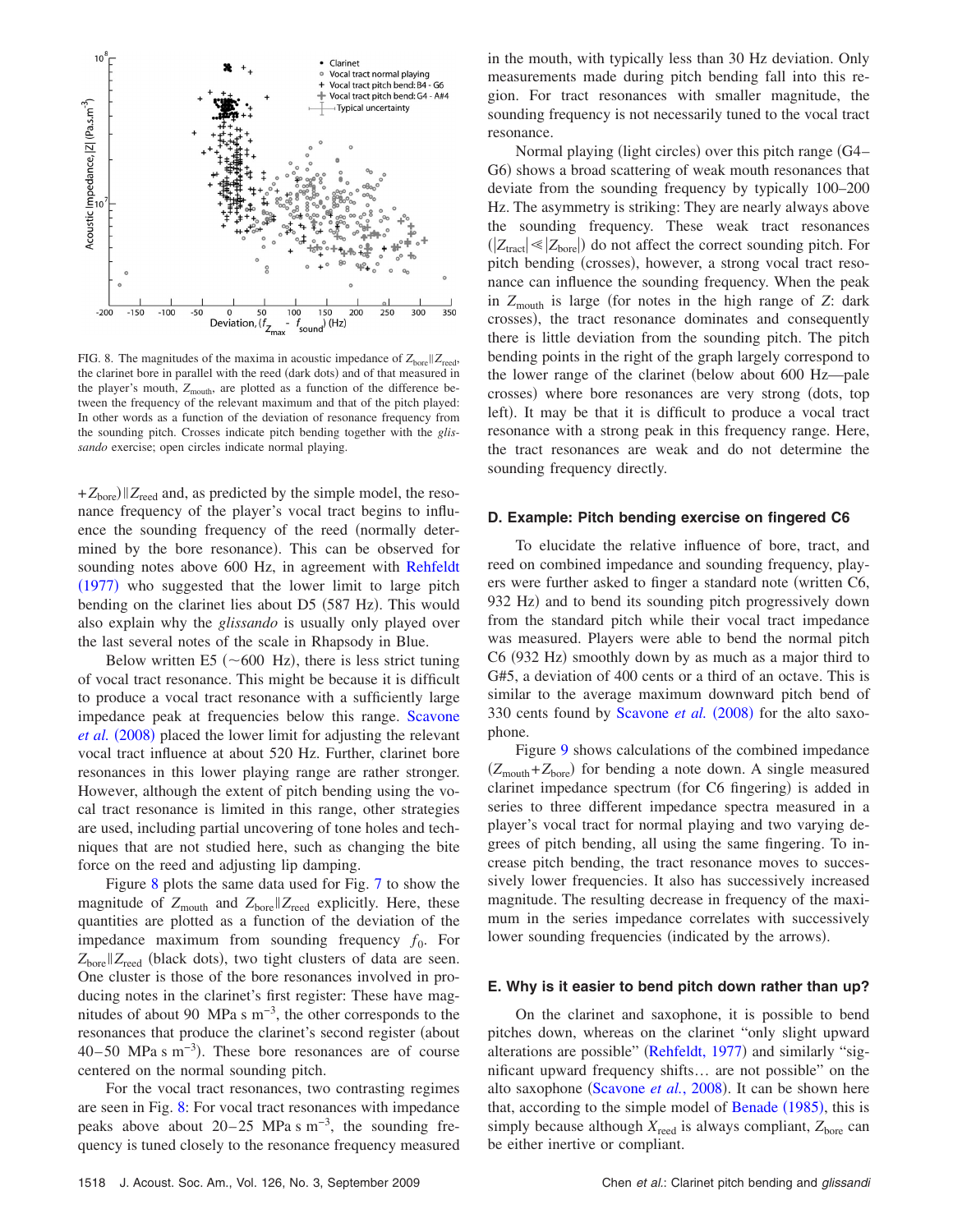<span id="page-7-0"></span>

FIG. 8. The magnitudes of the maxima in acoustic impedance of  $Z_{\text{bore}} || Z_{\text{read}}$ , the clarinet bore in parallel with the reed (dark dots) and of that measured in the player's mouth,  $Z_{\text{mouth}}$ , are plotted as a function of the difference between the frequency of the relevant maximum and that of the pitch played: In other words as a function of the deviation of resonance frequency from the sounding pitch. Crosses indicate pitch bending together with the *glissando* exercise; open circles indicate normal playing.

 $+Z_{\text{bore}}$   $||Z_{\text{reed}}$  and, as predicted by the simple model, the resonance frequency of the player's vocal tract begins to influence the sounding frequency of the reed (normally determined by the bore resonance). This can be observed for sounding notes above 600 Hz, in agreement with [Rehfeldt](#page-9-1) ([1977](#page-9-1)) who suggested that the lower limit to large pitch bending on the clarinet lies about D5 (587 Hz). This would also explain why the *glissando* is usually only played over the last several notes of the scale in Rhapsody in Blue.

Below written E5 ( $\sim$  600 Hz), there is less strict tuning of vocal tract resonance. This might be because it is difficult to produce a vocal tract resonance with a sufficiently large impedance peak at frequencies below this range. [Scavone](#page-9-21) [et al.](#page-9-21) (2008) placed the lower limit for adjusting the relevant vocal tract influence at about 520 Hz. Further, clarinet bore resonances in this lower playing range are rather stronger. However, although the extent of pitch bending using the vocal tract resonance is limited in this range, other strategies are used, including partial uncovering of tone holes and techniques that are not studied here, such as changing the bite force on the reed and adjusting lip damping.

Figure [8](#page-7-0) plots the same data used for Fig. [7](#page-6-0) to show the magnitude of  $Z_{\text{mouth}}$  and  $Z_{\text{bore}} || Z_{\text{reed}}$  explicitly. Here, these quantities are plotted as a function of the deviation of the impedance maximum from sounding frequency  $f_0$ . For Z<sub>bore</sub> | Z<sub>reed</sub> (black dots), two tight clusters of data are seen. One cluster is those of the bore resonances involved in producing notes in the clarinet's first register: These have magnitudes of about 90 MPa s  $m^{-3}$ , the other corresponds to the resonances that produce the clarinet's second register (about  $40-50$  MPa s m<sup>-3</sup>). These bore resonances are of course centered on the normal sounding pitch.

For the vocal tract resonances, two contrasting regimes are seen in Fig. [8:](#page-7-0) For vocal tract resonances with impedance peaks above about  $20-25$  MPa s m<sup>-3</sup>, the sounding frequency is tuned closely to the resonance frequency measured in the mouth, with typically less than 30 Hz deviation. Only measurements made during pitch bending fall into this region. For tract resonances with smaller magnitude, the sounding frequency is not necessarily tuned to the vocal tract resonance.

Normal playing (light circles) over this pitch range (G4-G6) shows a broad scattering of weak mouth resonances that deviate from the sounding frequency by typically 100–200 Hz. The asymmetry is striking: They are nearly always above the sounding frequency. These weak tract resonances  $(|Z_{\text{tract}}| \ll |Z_{\text{bore}}|)$  do not affect the correct sounding pitch. For pitch bending (crosses), however, a strong vocal tract resonance can influence the sounding frequency. When the peak in  $Z_{\text{mouth}}$  is large (for notes in the high range of  $Z$ : dark crosses), the tract resonance dominates and consequently there is little deviation from the sounding pitch. The pitch bending points in the right of the graph largely correspond to the lower range of the clarinet (below about 600 Hz—pale crosses) where bore resonances are very strong (dots, top left). It may be that it is difficult to produce a vocal tract resonance with a strong peak in this frequency range. Here, the tract resonances are weak and do not determine the sounding frequency directly.

### **D. Example: Pitch bending exercise on fingered C6**

To elucidate the relative influence of bore, tract, and reed on combined impedance and sounding frequency, players were further asked to finger a standard note (written C6, 932 Hz) and to bend its sounding pitch progressively down from the standard pitch while their vocal tract impedance was measured. Players were able to bend the normal pitch C6 (932 Hz) smoothly down by as much as a major third to G#5, a deviation of 400 cents or a third of an octave. This is similar to the average maximum downward pitch bend of 330 cents found by [Scavone](#page-9-21) et al. (2008) for the alto saxophone.

Figure [9](#page-8-0) shows calculations of the combined impedance  $(Z_{\text{mouth}} + Z_{\text{bore}})$  for bending a note down. A single measured clarinet impedance spectrum (for C6 fingering) is added in series to three different impedance spectra measured in a player's vocal tract for normal playing and two varying degrees of pitch bending, all using the same fingering. To increase pitch bending, the tract resonance moves to successively lower frequencies. It also has successively increased magnitude. The resulting decrease in frequency of the maximum in the series impedance correlates with successively lower sounding frequencies (indicated by the arrows).

#### **E. Why is it easier to bend pitch down rather than up?**

On the clarinet and saxophone, it is possible to bend pitches down, whereas on the clarinet "only slight upward alterations are possible" ([Rehfeldt, 1977](#page-9-1)) and similarly "significant upward frequency shifts… are not possible" on the alto saxophone ([Scavone](#page-9-21) et al., 2008). It can be shown here that, according to the simple model of [Benade](#page-9-6) (1985), this is simply because although  $X_{\text{read}}$  is always compliant,  $Z_{\text{bore}}$  can be either inertive or compliant.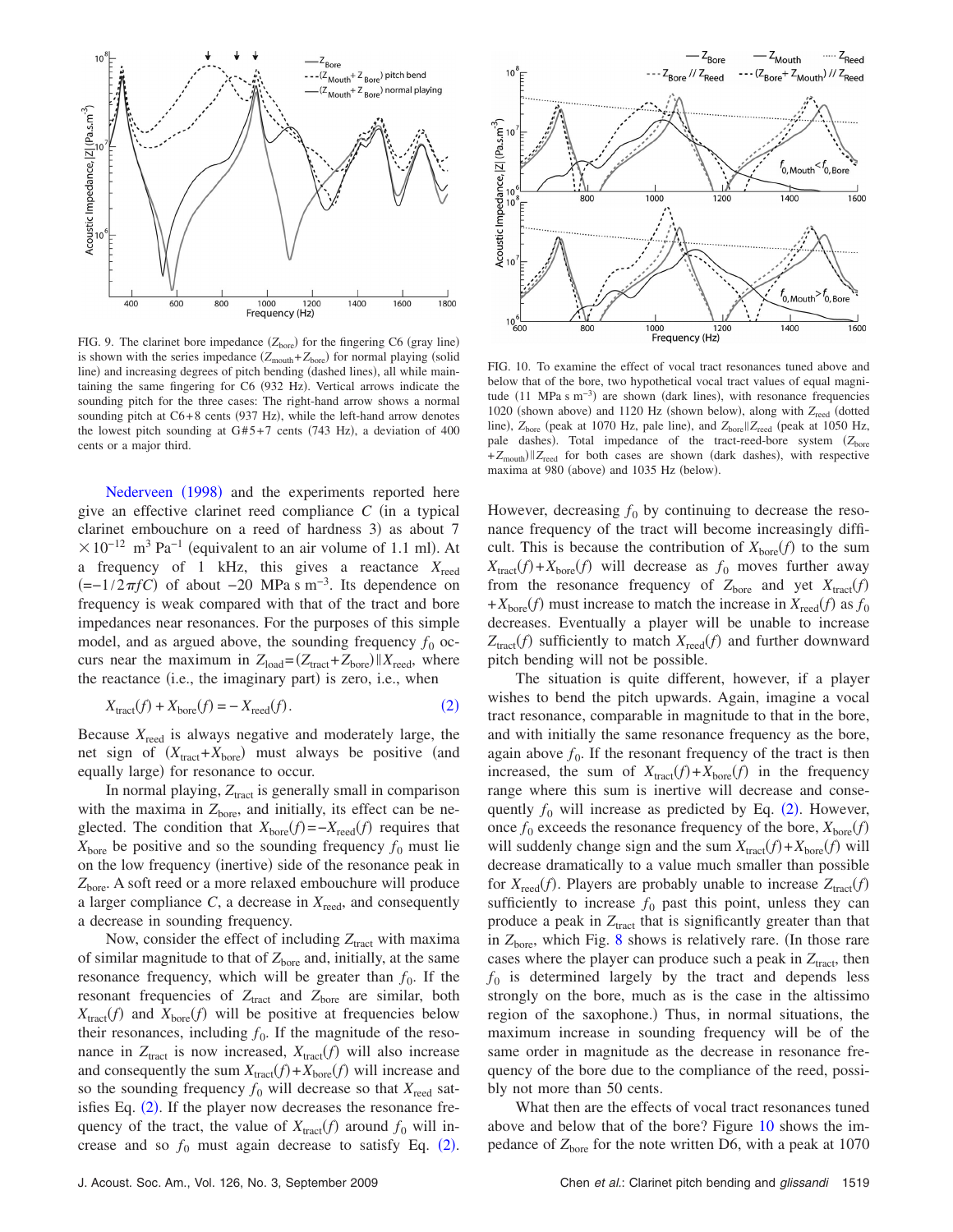<span id="page-8-0"></span>

FIG. 9. The clarinet bore impedance  $(Z<sub>bare</sub>)$  for the fingering C6 (gray line) is shown with the series impedance  $(Z_{\text{mouth}} + Z_{\text{bore}})$  for normal playing (solid line) and increasing degrees of pitch bending (dashed lines), all while maintaining the same fingering for C6 (932 Hz). Vertical arrows indicate the sounding pitch for the three cases: The right-hand arrow shows a normal sounding pitch at C6+8 cents (937 Hz), while the left-hand arrow denotes the lowest pitch sounding at  $G#5+7$  cents (743 Hz), a deviation of 400 cents or a major third.

[Nederveen](#page-9-26) (1998) and the experiments reported here give an effective clarinet reed compliance  $C$  (in a typical clarinet embouchure on a reed of hardness 3) as about 7  $\times 10^{-12}$  m<sup>3</sup> Pa<sup>-1</sup> (equivalent to an air volume of 1.1 ml). At a frequency of 1 kHz, this gives a reactance  $X_{\text{reed}}$  $(=-1/2\pi fC)$  of about −20 MPa s m<sup>-3</sup>. Its dependence on frequency is weak compared with that of the tract and bore impedances near resonances. For the purposes of this simple model, and as argued above, the sounding frequency  $f_0$  occurs near the maximum in  $Z_{load} = (Z_{\text{tract}} + Z_{\text{bore}}) || X_{\text{reed}}$ , where the reactance (i.e., the imaginary part) is zero, i.e., when

$$
X_{\text{tract}}(f) + X_{\text{bore}}(f) = -X_{\text{reed}}(f). \tag{2}
$$

<span id="page-8-1"></span>Because *X*reed is always negative and moderately large, the net sign of  $(X_{\text{tract}} + X_{\text{bore}})$  must always be positive (and equally large) for resonance to occur.

In normal playing,  $Z<sub>tract</sub>$  is generally small in comparison with the maxima in  $Z<sub>bore</sub>$ , and initially, its effect can be neglected. The condition that  $X_{\text{bore}}(f) = -X_{\text{reed}}(f)$  requires that  $X<sub>bare</sub>$  be positive and so the sounding frequency  $f_0$  must lie on the low frequency (inertive) side of the resonance peak in Z<sub>bore</sub>. A soft reed or a more relaxed embouchure will produce a larger compliance  $C$ , a decrease in  $X_{\text{read}}$ , and consequently a decrease in sounding frequency.

Now, consider the effect of including  $Z<sub>tract</sub>$  with maxima of similar magnitude to that of  $Z<sub>bore</sub>$  and, initially, at the same resonance frequency, which will be greater than  $f_0$ . If the resonant frequencies of  $Z_{\text{tract}}$  and  $Z_{\text{bore}}$  are similar, both  $X_{\text{tract}}(f)$  and  $X_{\text{bore}}(f)$  will be positive at frequencies below their resonances, including  $f_0$ . If the magnitude of the resonance in  $Z_{\text{tract}}$  is now increased,  $X_{\text{tract}}(f)$  will also increase and consequently the sum  $X_{\text{tract}}(f) + X_{\text{bore}}(f)$  will increase and so the sounding frequency  $f_0$  will decrease so that  $X_{\text{read}}$  sat-isfies Eq. ([2](#page-8-1)). If the player now decreases the resonance frequency of the tract, the value of  $X_{\text{tract}}(f)$  around  $f_0$  will increase and so  $f_0$  must again decrease to satisfy Eq. ([2](#page-8-1)).

<span id="page-8-2"></span>

FIG. 10. To examine the effect of vocal tract resonances tuned above and below that of the bore, two hypothetical vocal tract values of equal magnitude  $(11 \text{ MPa s m}^{-3})$  are shown (dark lines), with resonance frequencies 1020 (shown above) and 1120 Hz (shown below), along with  $Z_{\text{read}}$  (dotted line),  $Z_{\text{bore}}$  (peak at 1070 Hz, pale line), and  $Z_{\text{bore}} || Z_{\text{reed}}$  (peak at 1050 Hz, pale dashes). Total impedance of the tract-reed-bore system (Z<sub>bore</sub> +Z<sub>mouth</sub>) | Z<sub>reed</sub> for both cases are shown (dark dashes), with respective maxima at 980 (above) and 1035 Hz (below).

However, decreasing  $f_0$  by continuing to decrease the resonance frequency of the tract will become increasingly difficult. This is because the contribution of  $X_{\text{bore}}(f)$  to the sum  $X_{\text{tract}}(f) + X_{\text{bore}}(f)$  will decrease as  $f_0$  moves further away from the resonance frequency of  $Z_{\text{bore}}$  and yet  $X_{\text{tract}}(f)$ + $X<sub>bare</sub>(f)$  must increase to match the increase in  $X<sub>read</sub>(f)$  as  $f<sub>0</sub>$ decreases. Eventually a player will be unable to increase  $Z_{\text{tract}}(f)$  sufficiently to match  $X_{\text{read}}(f)$  and further downward pitch bending will not be possible.

The situation is quite different, however, if a player wishes to bend the pitch upwards. Again, imagine a vocal tract resonance, comparable in magnitude to that in the bore, and with initially the same resonance frequency as the bore, again above  $f_0$ . If the resonant frequency of the tract is then increased, the sum of  $X_{\text{tract}}(f) + X_{\text{bore}}(f)$  in the frequency range where this sum is inertive will decrease and consequently  $f_0$  will increase as predicted by Eq.  $(2)$  $(2)$  $(2)$ . However, once  $f_0$  exceeds the resonance frequency of the bore,  $X_{\text{bore}}(f)$ will suddenly change sign and the sum  $X_{\text{tract}}(f) + X_{\text{bore}}(f)$  will decrease dramatically to a value much smaller than possible for  $X_{\text{read}}(f)$ . Players are probably unable to increase  $Z_{\text{tract}}(f)$ sufficiently to increase  $f_0$  past this point, unless they can produce a peak in  $Z<sub>tract</sub>$  that is significantly greater than that in  $Z<sub>bore</sub>$ , which Fig. [8](#page-7-0) shows is relatively rare. (In those rare cases where the player can produce such a peak in  $Z<sub>tract</sub>$ , then  $f_0$  is determined largely by the tract and depends less strongly on the bore, much as is the case in the altissimo region of the saxophone.) Thus, in normal situations, the maximum increase in sounding frequency will be of the same order in magnitude as the decrease in resonance frequency of the bore due to the compliance of the reed, possibly not more than 50 cents.

What then are the effects of vocal tract resonances tuned above and below that of the bore? Figure [10](#page-8-2) shows the impedance of  $Z<sub>bore</sub>$  for the note written D6, with a peak at 1070